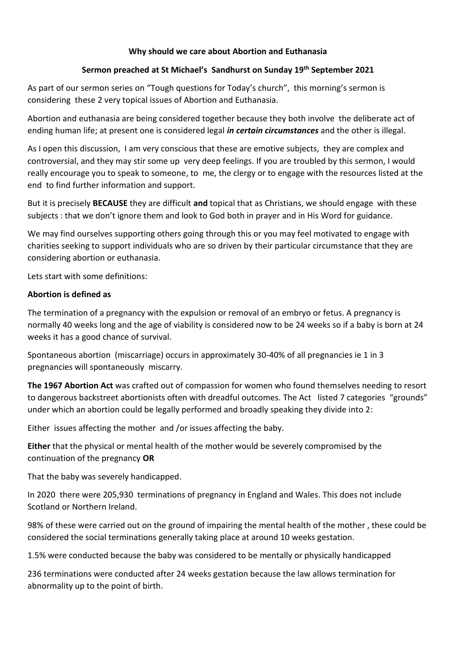#### **Why should we care about Abortion and Euthanasia**

#### **Sermon preached at St Michael's Sandhurst on Sunday 19th September 2021**

As part of our sermon series on "Tough questions for Today's church", this morning's sermon is considering these 2 very topical issues of Abortion and Euthanasia.

Abortion and euthanasia are being considered together because they both involve the deliberate act of ending human life; at present one is considered legal *in certain circumstances* and the other is illegal.

As I open this discussion, I am very conscious that these are emotive subjects, they are complex and controversial, and they may stir some up very deep feelings. If you are troubled by this sermon, I would really encourage you to speak to someone, to me, the clergy or to engage with the resources listed at the end to find further information and support.

But it is precisely **BECAUSE** they are difficult **and** topical that as Christians, we should engage with these subjects : that we don't ignore them and look to God both in prayer and in His Word for guidance.

We may find ourselves supporting others going through this or you may feel motivated to engage with charities seeking to support individuals who are so driven by their particular circumstance that they are considering abortion or euthanasia.

Lets start with some definitions:

#### **Abortion is defined as**

The termination of a pregnancy with the expulsion or removal of an embryo or fetus. A pregnancy is normally 40 weeks long and the age of viability is considered now to be 24 weeks so if a baby is born at 24 weeks it has a good chance of survival.

Spontaneous abortion (miscarriage) occurs in approximately 30-40% of all pregnancies ie 1 in 3 pregnancies will spontaneously miscarry.

**The 1967 Abortion Act** was crafted out of compassion for women who found themselves needing to resort to dangerous backstreet abortionists often with dreadful outcomes. The Act listed 7 categories "grounds" under which an abortion could be legally performed and broadly speaking they divide into 2:

Either issues affecting the mother and /or issues affecting the baby.

**Either** that the physical or mental health of the mother would be severely compromised by the continuation of the pregnancy **OR**

That the baby was severely handicapped.

In 2020 there were 205,930 terminations of pregnancy in England and Wales. This does not include Scotland or Northern Ireland.

98% of these were carried out on the ground of impairing the mental health of the mother , these could be considered the social terminations generally taking place at around 10 weeks gestation.

1.5% were conducted because the baby was considered to be mentally or physically handicapped

236 terminations were conducted after 24 weeks gestation because the law allows termination for abnormality up to the point of birth.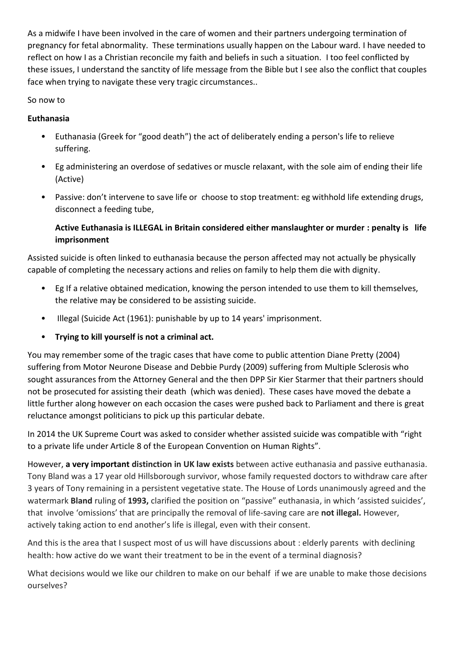As a midwife I have been involved in the care of women and their partners undergoing termination of pregnancy for fetal abnormality. These terminations usually happen on the Labour ward. I have needed to reflect on how I as a Christian reconcile my faith and beliefs in such a situation. I too feel conflicted by these issues, I understand the sanctity of life message from the Bible but I see also the conflict that couples face when trying to navigate these very tragic circumstances..

So now to

### **Euthanasia**

- Euthanasia (Greek for "good death") the act of deliberately ending a person's life to relieve suffering.
- Eg administering an overdose of sedatives or muscle relaxant, with the sole aim of ending their life (Active)
- Passive: don't intervene to save life or choose to stop treatment: eg withhold life extending drugs, disconnect a feeding tube,

## **Active Euthanasia is ILLEGAL in Britain considered either manslaughter or murder : penalty is life imprisonment**

Assisted suicide is often linked to euthanasia because the person affected may not actually be physically capable of completing the necessary actions and relies on family to help them die with dignity.

- Eg If a relative obtained medication, knowing the person intended to use them to kill themselves, the relative may be considered to be assisting suicide.
- Illegal (Suicide Act (1961): punishable by up to 14 years' imprisonment.
- **Trying to kill yourself is not a criminal act.**

You may remember some of the tragic cases that have come to public attention Diane Pretty (2004) suffering from Motor Neurone Disease and Debbie Purdy (2009) suffering from Multiple Sclerosis who sought assurances from the Attorney General and the then DPP Sir Kier Starmer that their partners should not be prosecuted for assisting their death (which was denied). These cases have moved the debate a little further along however on each occasion the cases were pushed back to Parliament and there is great reluctance amongst politicians to pick up this particular debate.

In 2014 the UK Supreme Court was asked to consider whether assisted suicide was compatible with "right to a private life under Article 8 of the European Convention on Human Rights".

However, **a very important distinction in UK law exists** between active euthanasia and passive euthanasia. Tony Bland was a 17 year old Hillsborough survivor, whose family requested doctors to withdraw care after 3 years of Tony remaining in a persistent vegetative state. The House of Lords unanimously agreed and the watermark **Bland** ruling of **1993,** clarified the position on "passive" euthanasia, in which 'assisted suicides', that involve 'omissions' that are principally the removal of life-saving care are **not illegal.** However, actively taking action to end another's life is illegal, even with their consent.

And this is the area that I suspect most of us will have discussions about : elderly parents with declining health: how active do we want their treatment to be in the event of a terminal diagnosis?

What decisions would we like our children to make on our behalf if we are unable to make those decisions ourselves?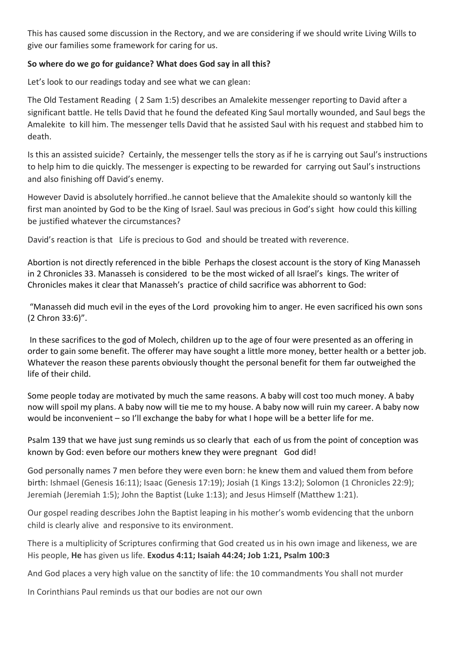This has caused some discussion in the Rectory, and we are considering if we should write Living Wills to give our families some framework for caring for us.

#### **So where do we go for guidance? What does God say in all this?**

Let's look to our readings today and see what we can glean:

The Old Testament Reading ( 2 Sam 1:5) describes an Amalekite messenger reporting to David after a significant battle. He tells David that he found the defeated King Saul mortally wounded, and Saul begs the Amalekite to kill him. The messenger tells David that he assisted Saul with his request and stabbed him to death.

Is this an assisted suicide? Certainly, the messenger tells the story as if he is carrying out Saul's instructions to help him to die quickly. The messenger is expecting to be rewarded for carrying out Saul's instructions and also finishing off David's enemy.

However David is absolutely horrified..he cannot believe that the Amalekite should so wantonly kill the first man anointed by God to be the King of Israel. Saul was precious in God's sight how could this killing be justified whatever the circumstances?

David's reaction is that Life is precious to God and should be treated with reverence.

Abortion is not directly referenced in the bible Perhaps the closest account is the story of King Manasseh in 2 Chronicles 33. Manasseh is considered to be the most wicked of all Israel's kings. The writer of Chronicles makes it clear that Manasseh's practice of child sacrifice was abhorrent to God:

"Manasseh did much evil in the eyes of the Lord provoking him to anger. He even sacrificed his own sons (2 Chron 33:6)".

In these sacrifices to the god of Molech, children up to the age of four were presented as an offering in order to gain some benefit. The offerer may have sought a little more money, better health or a better job. Whatever the reason these parents obviously thought the personal benefit for them far outweighed the life of their child.

Some people today are motivated by much the same reasons. A baby will cost too much money. A baby now will spoil my plans. A baby now will tie me to my house. A baby now will ruin my career. A baby now would be inconvenient – so I'll exchange the baby for what I hope will be a better life for me.

Psalm 139 that we have just sung reminds us so clearly that each of us from the point of conception was known by God: even before our mothers knew they were pregnant God did!

God personally names 7 men before they were even born: he knew them and valued them from before birth: Ishmael (Genesis 16:11); Isaac (Genesis 17:19); Josiah (1 Kings 13:2); Solomon (1 Chronicles 22:9); Jeremiah (Jeremiah 1:5); John the Baptist (Luke 1:13); and Jesus Himself (Matthew 1:21).

Our gospel reading describes John the Baptist leaping in his mother's womb evidencing that the unborn child is clearly alive and responsive to its environment.

There is a multiplicity of Scriptures confirming that God created us in his own image and likeness, we are His people, **He** has given us life. **Exodus 4:11; Isaiah 44:24; Job 1:21, Psalm 100:3**

And God places a very high value on the sanctity of life: the 10 commandments You shall not murder

In Corinthians Paul reminds us that our bodies are not our own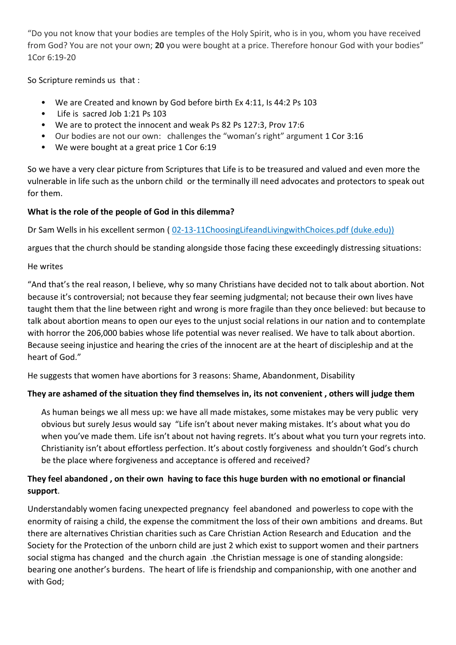"Do you not know that your bodies are temples of the Holy Spirit, who is in you, whom you have received from God? You are not your own; **20** you were bought at a price. Therefore honour God with your bodies" 1Cor 6:19-20

So Scripture reminds us that :

- We are Created and known by God before birth Ex 4:11, Is 44:2 Ps 103
- Life is sacred Job 1:21 Ps 103
- We are to protect the innocent and weak Ps 82 Ps 127:3, Prov 17:6
- Our bodies are not our own: challenges the "woman's right" argument 1 Cor 3:16
- We were bought at a great price 1 Cor 6:19

So we have a very clear picture from Scriptures that Life is to be treasured and valued and even more the vulnerable in life such as the unborn child or the terminally ill need advocates and protectors to speak out for them.

# **What is the role of the people of God in this dilemma?**

Dr Sam Wells in his excellent sermon ([02-13-11ChoosingLifeandLivingwithChoices.pdf \(duke.edu\)\)](https://chapel.duke.edu/sites/default/files/02-13-11ChoosingLifeandLivingwithChoices.pdf)

argues that the church should be standing alongside those facing these exceedingly distressing situations:

## He writes

"And that's the real reason, I believe, why so many Christians have decided not to talk about abortion. Not because it's controversial; not because they fear seeming judgmental; not because their own lives have taught them that the line between right and wrong is more fragile than they once believed: but because to talk about abortion means to open our eyes to the unjust social relations in our nation and to contemplate with horror the 206,000 babies whose life potential was never realised. We have to talk about abortion. Because seeing injustice and hearing the cries of the innocent are at the heart of discipleship and at the heart of God."

He suggests that women have abortions for 3 reasons: Shame, Abandonment, Disability

# **They are ashamed of the situation they find themselves in, its not convenient , others will judge them**

As human beings we all mess up: we have all made mistakes, some mistakes may be very public very obvious but surely Jesus would say "Life isn't about never making mistakes. It's about what you do when you've made them. Life isn't about not having regrets. It's about what you turn your regrets into. Christianity isn't about effortless perfection. It's about costly forgiveness and shouldn't God's church be the place where forgiveness and acceptance is offered and received?

# **They feel abandoned , on their own having to face this huge burden with no emotional or financial support**.

Understandably women facing unexpected pregnancy feel abandoned and powerless to cope with the enormity of raising a child, the expense the commitment the loss of their own ambitions and dreams. But there are alternatives Christian charities such as Care Christian Action Research and Education and the Society for the Protection of the unborn child are just 2 which exist to support women and their partners social stigma has changed and the church again .the Christian message is one of standing alongside: bearing one another's burdens. The heart of life is friendship and companionship, with one another and with God;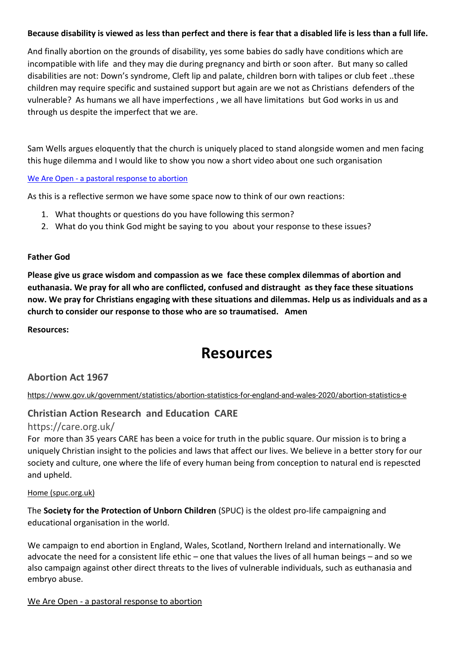#### **Because disability is viewed as less than perfect and there is fear that a disabled life is less than a full life.**

And finally abortion on the grounds of disability, yes some babies do sadly have conditions which are incompatible with life and they may die during pregnancy and birth or soon after. But many so called disabilities are not: Down's syndrome, Cleft lip and palate, children born with talipes or club feet ..these children may require specific and sustained support but again are we not as Christians defenders of the vulnerable? As humans we all have imperfections , we all have limitations but God works in us and through us despite the imperfect that we are.

Sam Wells argues eloquently that the church is uniquely placed to stand alongside women and men facing this huge dilemma and I would like to show you now a short video about one such organisation

#### We Are Open - [a pastoral response to abortion](http://www.weareopen.org.uk/)

As this is a reflective sermon we have some space now to think of our own reactions:

- 1. What thoughts or questions do you have following this sermon?
- 2. What do you think God might be saying to you about your response to these issues?

#### **Father God**

**Please give us grace wisdom and compassion as we face these complex dilemmas of abortion and euthanasia. We pray for all who are conflicted, confused and distraught as they face these situations now. We pray for Christians engaging with these situations and dilemmas. Help us as individuals and as a church to consider our response to those who are so traumatised. Amen**

**Resources:**

# **Resources**

#### **Abortion Act 1967**

<https://www.gov.uk/government/statistics/abortion-statistics-for-england-and-wales-2020/abortion-statistics-e>

#### **Christian Action Research and Education CARE**

#### https://care.org.uk/

For more than 35 years CARE has been a voice for truth in the public square. Our mission is to bring a uniquely Christian insight to the policies and laws that affect our lives. We believe in a better story for our society and culture, one where the life of every human being from conception to natural end is repescted and upheld.

#### [Home \(spuc.org.uk\)](https://www.spuc.org.uk/)

The **Society for the Protection of Unborn Children** (SPUC) is the oldest pro-life campaigning and educational organisation in the world.

We campaign to end abortion in England, Wales, Scotland, Northern Ireland and internationally. We advocate the need for a consistent life ethic – one that values the lives of all human beings – and so we also campaign against other direct threats to the lives of vulnerable individuals, such as euthanasia and embryo abuse.

We Are Open - [a pastoral response to abortion](http://www.weareopen.org.uk/)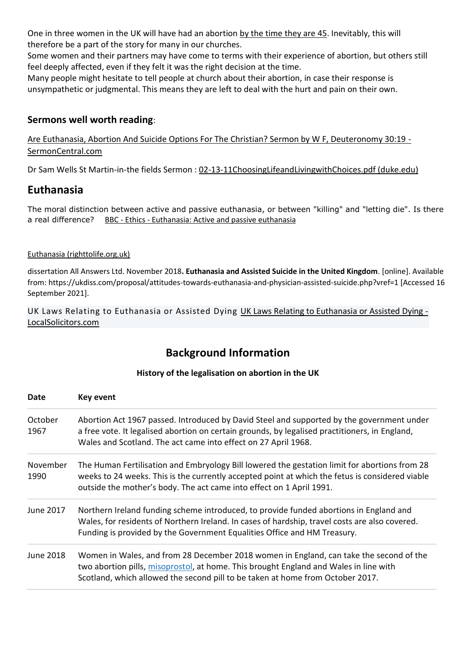One in three women in the UK will have had an abortion by the time they are 45. Inevitably, this will therefore be a part of the story for many in our churches.

Some women and their partners may have come to terms with their experience of abortion, but others still feel deeply affected, even if they felt it was the right decision at the time.

Many people might hesitate to tell people at church about their abortion, in case their response is unsympathetic or judgmental. This means they are left to deal with the hurt and pain on their own.

# **Sermons well worth reading**:

Are Euthanasia, Abortion And Suicide Options For The Christian? Sermon by W F, Deuteronomy 30:19 - SermonCentral.com

Dr Sam Wells St Martin-in-the fields Sermon : 02-13-11ChoosingLifeandLivingwithChoices.pdf (duke.edu)

# **Euthanasia**

The moral distinction between active and passive euthanasia, or between "killing" and "letting die". Is there a real difference? BBC - Ethics - Euthanasia: Active and passive euthanasia

#### Euthanasia (righttolife.org.uk)

dissertation All Answers Ltd. November 2018**. Euthanasia and Assisted Suicide in the United Kingdom**. [online]. Available from: https://ukdiss.com/proposal/attitudes-towards-euthanasia-and-physician-assisted-suicide.php?vref=1 [Accessed 16 September 2021].

UK Laws Relating to Euthanasia or Assisted Dying UK Laws Relating to Euthanasia or Assisted Dying - LocalSolicitors.com

# **Background Information**

#### **History of the legalisation on abortion in the UK**

| Date             | Key event                                                                                                                                                                                                                                                                |
|------------------|--------------------------------------------------------------------------------------------------------------------------------------------------------------------------------------------------------------------------------------------------------------------------|
| October<br>1967  | Abortion Act 1967 passed. Introduced by David Steel and supported by the government under<br>a free vote. It legalised abortion on certain grounds, by legalised practitioners, in England,<br>Wales and Scotland. The act came into effect on 27 April 1968.            |
| November<br>1990 | The Human Fertilisation and Embryology Bill lowered the gestation limit for abortions from 28<br>weeks to 24 weeks. This is the currently accepted point at which the fetus is considered viable<br>outside the mother's body. The act came into effect on 1 April 1991. |
| June 2017        | Northern Ireland funding scheme introduced, to provide funded abortions in England and<br>Wales, for residents of Northern Ireland. In cases of hardship, travel costs are also covered.<br>Funding is provided by the Government Equalities Office and HM Treasury.     |
| <b>June 2018</b> | Women in Wales, and from 28 December 2018 women in England, can take the second of the<br>two abortion pills, misoprostol, at home. This brought England and Wales in line with<br>Scotland, which allowed the second pill to be taken at home from October 2017.        |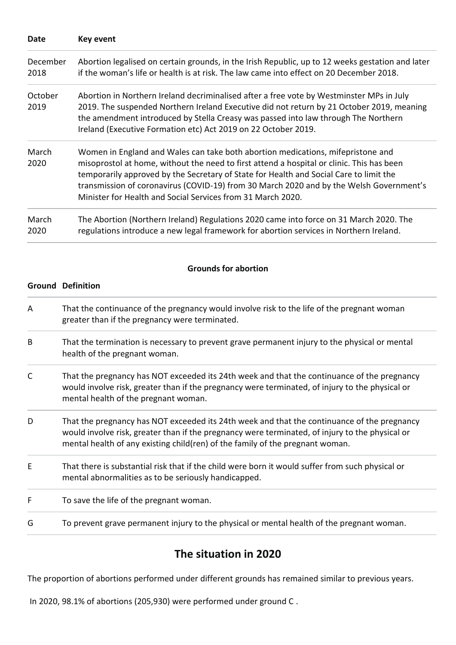| Date             | Key event                                                                                                                                                                                                                                                                                                                                                                                                                        |
|------------------|----------------------------------------------------------------------------------------------------------------------------------------------------------------------------------------------------------------------------------------------------------------------------------------------------------------------------------------------------------------------------------------------------------------------------------|
| December<br>2018 | Abortion legalised on certain grounds, in the Irish Republic, up to 12 weeks gestation and later<br>if the woman's life or health is at risk. The law came into effect on 20 December 2018.                                                                                                                                                                                                                                      |
| October<br>2019  | Abortion in Northern Ireland decriminalised after a free vote by Westminster MPs in July<br>2019. The suspended Northern Ireland Executive did not return by 21 October 2019, meaning<br>the amendment introduced by Stella Creasy was passed into law through The Northern<br>Ireland (Executive Formation etc) Act 2019 on 22 October 2019.                                                                                    |
| March<br>2020    | Women in England and Wales can take both abortion medications, mifepristone and<br>misoprostol at home, without the need to first attend a hospital or clinic. This has been<br>temporarily approved by the Secretary of State for Health and Social Care to limit the<br>transmission of coronavirus (COVID-19) from 30 March 2020 and by the Welsh Government's<br>Minister for Health and Social Services from 31 March 2020. |
| March<br>2020    | The Abortion (Northern Ireland) Regulations 2020 came into force on 31 March 2020. The<br>regulations introduce a new legal framework for abortion services in Northern Ireland.                                                                                                                                                                                                                                                 |

#### **Grounds for abortion**

#### **Ground Definition**

- A That the continuance of the pregnancy would involve risk to the life of the pregnant woman greater than if the pregnancy were terminated.
- B That the termination is necessary to prevent grave permanent injury to the physical or mental health of the pregnant woman.
- C That the pregnancy has NOT exceeded its 24th week and that the continuance of the pregnancy would involve risk, greater than if the pregnancy were terminated, of injury to the physical or mental health of the pregnant woman.
- D That the pregnancy has NOT exceeded its 24th week and that the continuance of the pregnancy would involve risk, greater than if the pregnancy were terminated, of injury to the physical or mental health of any existing child(ren) of the family of the pregnant woman.
- E That there is substantial risk that if the child were born it would suffer from such physical or mental abnormalities as to be seriously handicapped.
- F To save the life of the pregnant woman.
- G To prevent grave permanent injury to the physical or mental health of the pregnant woman.

# **The situation in 2020**

The proportion of abortions performed under different grounds has remained similar to previous years.

In 2020, 98.1% of abortions (205,930) were performed under ground C .